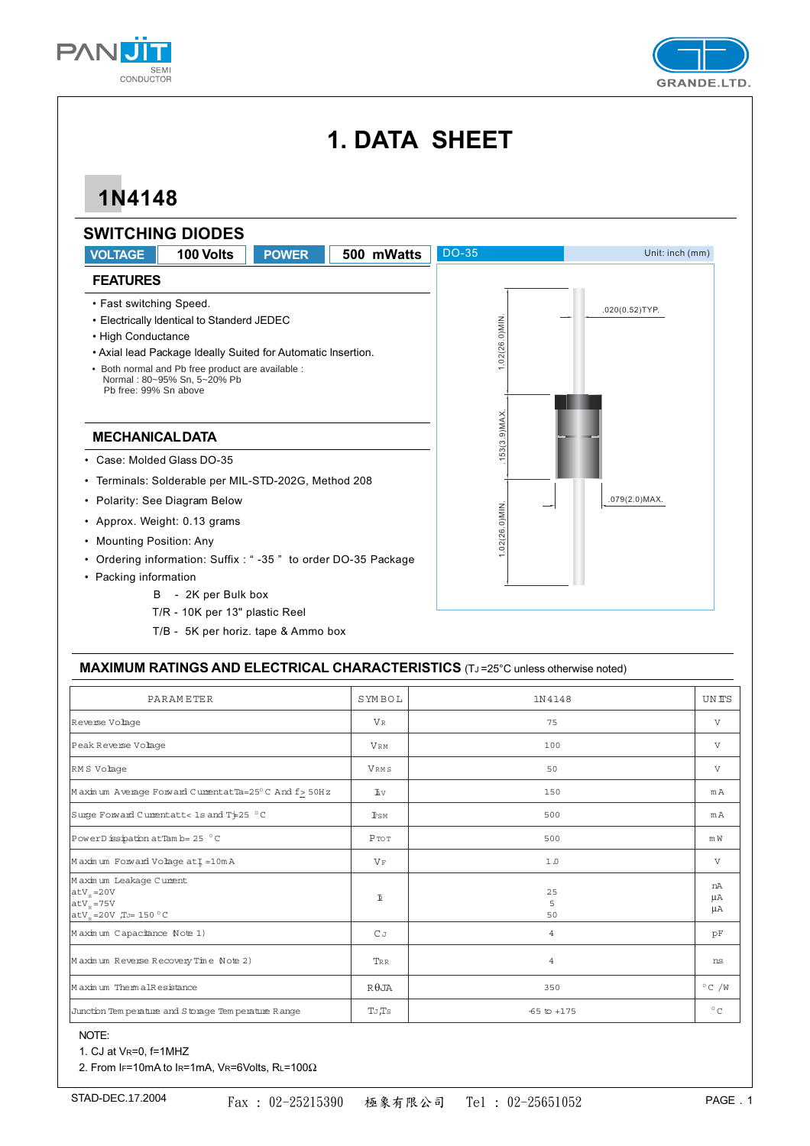



# **1. DATA SHEET**

## **1N4148**



### **MAXIMUM RATINGS AND ELECTRICAL CHARACTERISTICS** (TJ =25°C unless otherwise noted)

| <b>PARAMETER</b>                                                                 | SYMBOL            | 1N4148          | <b>UNTS</b>     |
|----------------------------------------------------------------------------------|-------------------|-----------------|-----------------|
| Reverse Volage                                                                   | VR                | 75              | $\mathbf{V}$    |
| Peak Reverse Volage                                                              | <b>VRM</b>        | 100             | $\mathbf{V}$    |
| RMS Volage                                                                       | VRMS              | 50              | $\mathbf{V}$    |
| Maximum Average Forward CumentatTa=25°C And f> 50Hz                              | Δv                | 150             | mA              |
| Surge Forward Cumentatt< 1s and Ti=25 °C                                         | <b>FSM</b>        | 500             | mA              |
| PowerD issipation at Tam b= 25 °C                                                | $P \text{ to } T$ | 500             | m W             |
| Maximum Forward Volage at I=10mA                                                 | $V_F$             | 1.0             | $\mathbf{V}$    |
| Maximum Leakage Cument<br>$atVp = 20V$<br>$atVp = 75V$<br>$atVp=20V$ $TJ=150 °C$ | $\mathbbmss{E}$   | 25<br>5<br>50   | nA<br>μA<br>μA  |
| Maximum Capacitance Note 1)                                                      | $C_{J}$           | $\overline{4}$  | pF              |
| Maximum Reverse Recovery Time Note 2)                                            | TRR               | $\overline{4}$  | ns              |
| Maximum ThemalResistance                                                         | $R\theta$ JA      | 350             | $^{\circ}$ C /W |
| Junction Tem perature and Storage Tem perature Range                             | TJ,Ts             | $-65$ to $+175$ | $^{\circ}$ C    |

### NOTE:

1. CJ at VR=0, f=1MHZ

2. From IF=10mA to IR=1mA, VR=6Volts, RL=100Ω